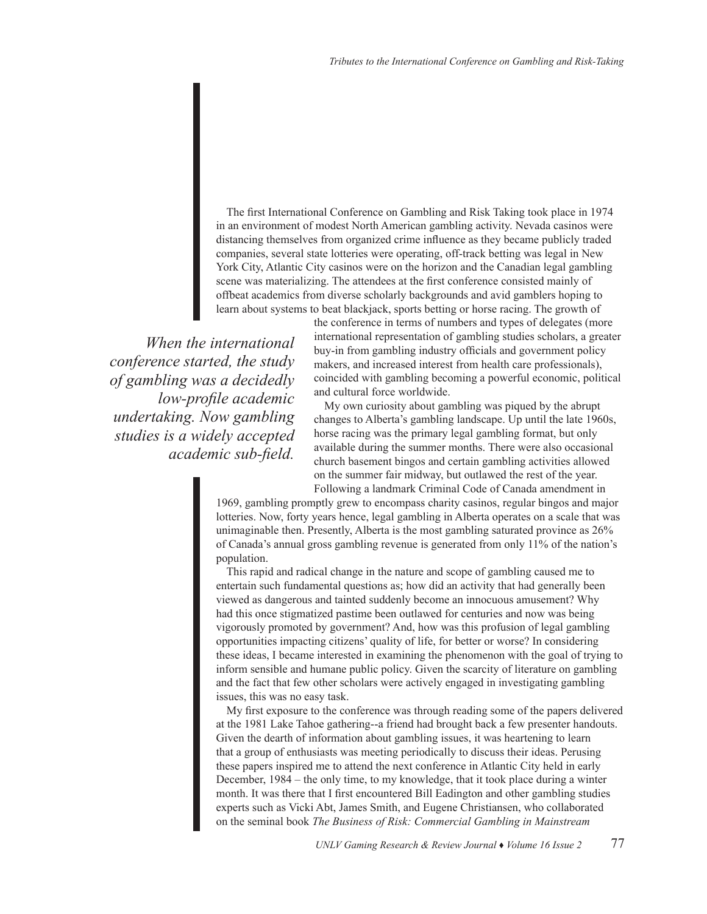The first International Conference on Gambling and Risk Taking took place in 1974 in an environment of modest North American gambling activity. Nevada casinos were distancing themselves from organized crime influence as they became publicly traded companies, several state lotteries were operating, off-track betting was legal in New York City, Atlantic City casinos were on the horizon and the Canadian legal gambling scene was materializing. The attendees at the first conference consisted mainly of offbeat academics from diverse scholarly backgrounds and avid gamblers hoping to learn about systems to beat blackjack, sports betting or horse racing. The growth of

*When the international conference started, the study of gambling was a decidedly low-profile academic undertaking. Now gambling studies is a widely accepted academic sub-field.* 

the conference in terms of numbers and types of delegates (more international representation of gambling studies scholars, a greater buy-in from gambling industry officials and government policy makers, and increased interest from health care professionals), coincided with gambling becoming a powerful economic, political and cultural force worldwide.

My own curiosity about gambling was piqued by the abrupt changes to Alberta's gambling landscape. Up until the late 1960s, horse racing was the primary legal gambling format, but only available during the summer months. There were also occasional church basement bingos and certain gambling activities allowed on the summer fair midway, but outlawed the rest of the year. Following a landmark Criminal Code of Canada amendment in

1969, gambling promptly grew to encompass charity casinos, regular bingos and major lotteries. Now, forty years hence, legal gambling in Alberta operates on a scale that was unimaginable then. Presently, Alberta is the most gambling saturated province as 26% of Canada's annual gross gambling revenue is generated from only 11% of the nation's population.

This rapid and radical change in the nature and scope of gambling caused me to entertain such fundamental questions as; how did an activity that had generally been viewed as dangerous and tainted suddenly become an innocuous amusement? Why had this once stigmatized pastime been outlawed for centuries and now was being vigorously promoted by government? And, how was this profusion of legal gambling opportunities impacting citizens' quality of life, for better or worse? In considering these ideas, I became interested in examining the phenomenon with the goal of trying to inform sensible and humane public policy. Given the scarcity of literature on gambling and the fact that few other scholars were actively engaged in investigating gambling issues, this was no easy task.

My first exposure to the conference was through reading some of the papers delivered at the 1981 Lake Tahoe gathering--a friend had brought back a few presenter handouts. Given the dearth of information about gambling issues, it was heartening to learn that a group of enthusiasts was meeting periodically to discuss their ideas. Perusing these papers inspired me to attend the next conference in Atlantic City held in early December, 1984 – the only time, to my knowledge, that it took place during a winter month. It was there that I first encountered Bill Eadington and other gambling studies experts such as Vicki Abt, James Smith, and Eugene Christiansen, who collaborated on the seminal book *The Business of Risk: Commercial Gambling in Mainstream*